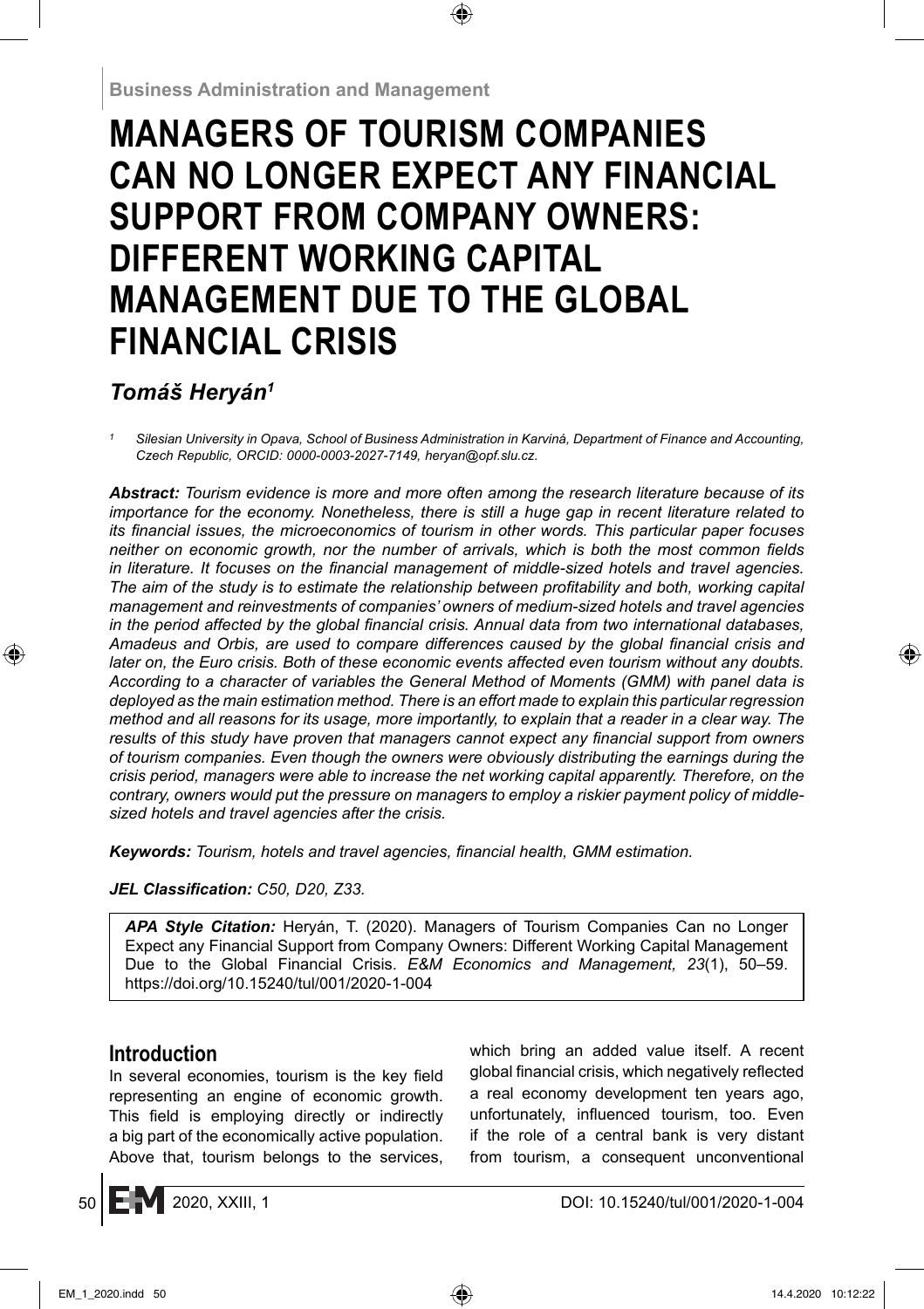# **MANAGERS OF TOURISM COMPANIES CAN NO LONGER EXPECT ANY FINANCIAL SUPPORT FROM COMPANY OWNERS: DIFFERENT WORKING CAPITAL MANAGEMENT DUE TO THE GLOBAL FINANCIAL CRISIS**

## *Tomáš Heryán1*

*1 Silesian University in Opava, School of Business Administration in Karviná, Department of Finance and Accounting, Czech Republic, ORCID: 0000-0003-2027-7149, heryan@opf.slu.cz.*

*Abstract: Tourism evidence is more and more often among the research literature because of its importance for the economy. Nonetheless, there is still a huge gap in recent literature related to its financial issues, the microeconomics of tourism in other words. This particular paper focuses neither on economic growth, nor the number of arrivals, which is both the most common fields* in literature. It focuses on the financial management of middle-sized hotels and travel agencies. The aim of the study is to estimate the relationship between profitability and both, working capital *management and reinvestments of companies' owners of medium-sized hotels and travel agencies*  in the period affected by the global financial crisis. Annual data from two international databases, Amadeus and Orbis, are used to compare differences caused by the global financial crisis and *later on, the Euro crisis. Both of these economic events affected even tourism without any doubts. According to a character of variables the General Method of Moments (GMM) with panel data is deployed as the main estimation method. There is an effort made to explain this particular regression method and all reasons for its usage, more importantly, to explain that a reader in a clear way. The*  results of this study have proven that managers cannot expect any financial support from owners *of tourism companies. Even though the owners were obviously distributing the earnings during the crisis period, managers were able to increase the net working capital apparently. Therefore, on the contrary, owners would put the pressure on managers to employ a riskier payment policy of middlesized hotels and travel agencies after the crisis.*

*Keywords: Tourism, hotels and travel agencies, fi nancial health, GMM estimation.*

#### *JEL Classifi cation: C50, D20, Z33.*

*APA Style Citation:* Heryán, T. (2020). Managers of Tourism Companies Can no Longer Expect any Financial Support from Company Owners: Different Working Capital Management Due to the Global Financial Crisis. *E&M Economics and Management, 23*(1), 50–59. https://doi.org/10.15240/tul/001/2020-1-004

## **Introduction**

In several economies, tourism is the key field representing an engine of economic growth. This field is employing directly or indirectly a big part of the economically active population. Above that, tourism belongs to the services, which bring an added value itself. A recent global financial crisis, which negatively reflected a real economy development ten years ago, unfortunately, influenced tourism, too. Even if the role of a central bank is very distant from tourism, a consequent unconventional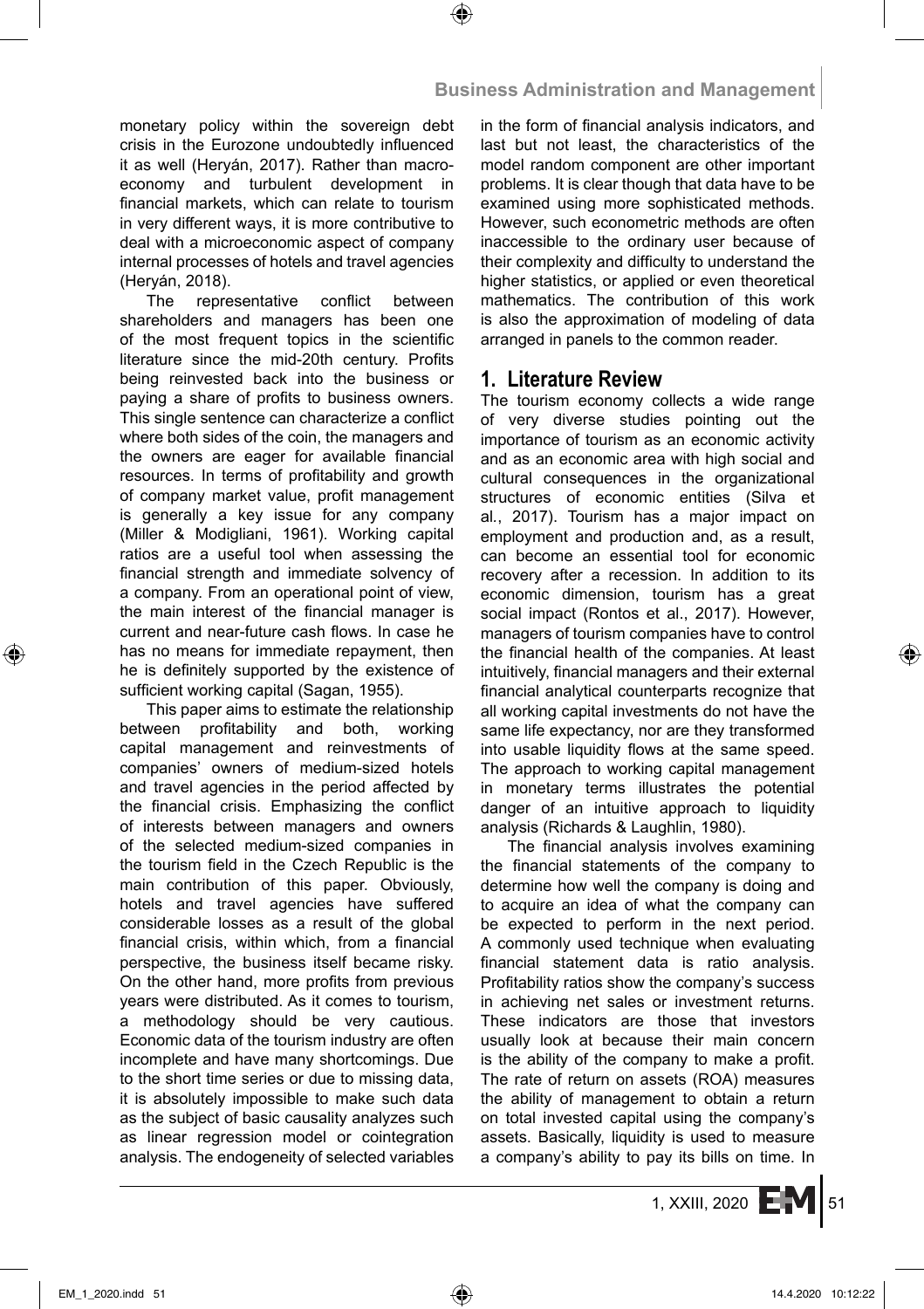monetary policy within the sovereign debt crisis in the Eurozone undoubtedly influenced it as well (Heryán, 2017). Rather than macroeconomy and turbulent development in financial markets, which can relate to tourism in very different ways, it is more contributive to deal with a microeconomic aspect of company internal processes of hotels and travel agencies (Heryán, 2018).

The representative conflict between shareholders and managers has been one of the most frequent topics in the scientific literature since the mid-20th century. Profits being reinvested back into the business or paying a share of profits to business owners. This single sentence can characterize a conflict where both sides of the coin, the managers and the owners are eager for available financial resources. In terms of profitability and growth of company market value, profit management is generally a key issue for any company (Miller & Modigliani, 1961). Working capital ratios are a useful tool when assessing the financial strength and immediate solvency of a company. From an operational point of view, the main interest of the financial manager is current and near-future cash flows. In case he has no means for immediate repayment, then he is definitely supported by the existence of sufficient working capital (Sagan, 1955).

This paper aims to estimate the relationship between profitability and both, working capital management and reinvestments of companies' owners of medium-sized hotels and travel agencies in the period affected by the financial crisis. Emphasizing the conflict of interests between managers and owners of the selected medium-sized companies in the tourism field in the Czech Republic is the main contribution of this paper. Obviously, hotels and travel agencies have suffered considerable losses as a result of the global financial crisis, within which, from a financial perspective, the business itself became risky. On the other hand, more profits from previous years were distributed. As it comes to tourism, a methodology should be very cautious. Economic data of the tourism industry are often incomplete and have many shortcomings. Due to the short time series or due to missing data, it is absolutely impossible to make such data as the subject of basic causality analyzes such as linear regression model or cointegration analysis. The endogeneity of selected variables in the form of financial analysis indicators, and last but not least, the characteristics of the model random component are other important problems. It is clear though that data have to be examined using more sophisticated methods. However, such econometric methods are often inaccessible to the ordinary user because of their complexity and difficulty to understand the higher statistics, or applied or even theoretical mathematics. The contribution of this work is also the approximation of modeling of data arranged in panels to the common reader.

#### **1. Literature Review**

The tourism economy collects a wide range of very diverse studies pointing out the importance of tourism as an economic activity and as an economic area with high social and cultural consequences in the organizational structures of economic entities (Silva et al*.*, 2017). Tourism has a major impact on employment and production and, as a result, can become an essential tool for economic recovery after a recession. In addition to its economic dimension, tourism has a great social impact (Rontos et al., 2017). However, managers of tourism companies have to control the financial health of the companies. At least intuitively, financial managers and their external financial analytical counterparts recognize that all working capital investments do not have the same life expectancy, nor are they transformed into usable liquidity flows at the same speed. The approach to working capital management in monetary terms illustrates the potential danger of an intuitive approach to liquidity analysis (Richards & Laughlin, 1980).

The financial analysis involves examining the financial statements of the company to determine how well the company is doing and to acquire an idea of what the company can be expected to perform in the next period. A commonly used technique when evaluating financial statement data is ratio analysis. Profitability ratios show the company's success in achieving net sales or investment returns. These indicators are those that investors usually look at because their main concern is the ability of the company to make a profit. The rate of return on assets (ROA) measures the ability of management to obtain a return on total invested capital using the company's assets. Basically, liquidity is used to measure a company's ability to pay its bills on time. In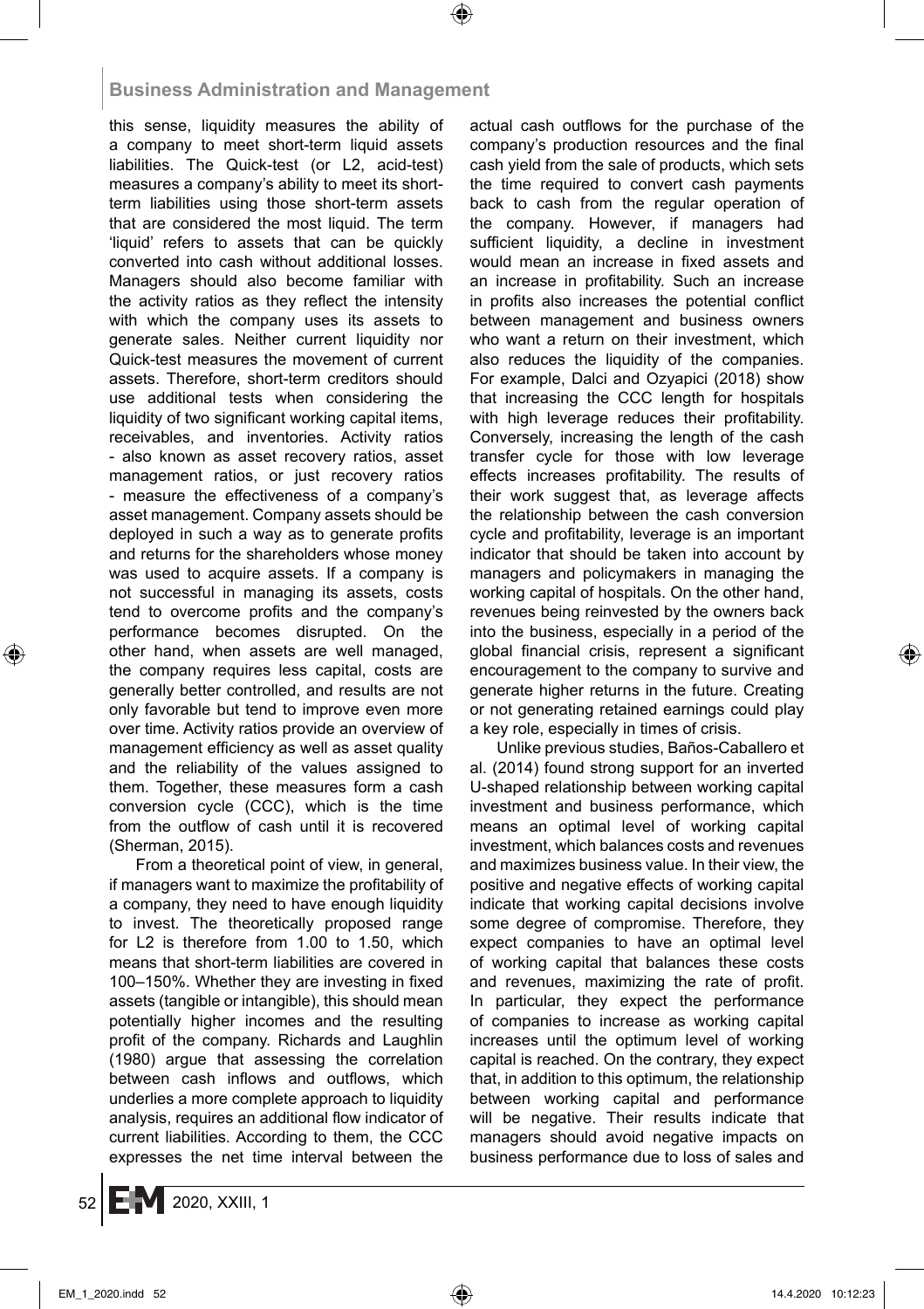#### **Business Administration and Management**

this sense, liquidity measures the ability of a company to meet short-term liquid assets liabilities. The Quick-test (or L2, acid-test) measures a company's ability to meet its shortterm liabilities using those short-term assets that are considered the most liquid. The term 'liquid' refers to assets that can be quickly converted into cash without additional losses. Managers should also become familiar with the activity ratios as they reflect the intensity with which the company uses its assets to generate sales. Neither current liquidity nor Quick-test measures the movement of current assets. Therefore, short-term creditors should use additional tests when considering the liquidity of two significant working capital items, receivables, and inventories. Activity ratios - also known as asset recovery ratios, asset management ratios, or just recovery ratios - measure the effectiveness of a company's asset management. Company assets should be deployed in such a way as to generate profits and returns for the shareholders whose money was used to acquire assets. If a company is not successful in managing its assets, costs tend to overcome profits and the company's performance becomes disrupted. On the other hand, when assets are well managed, the company requires less capital, costs are generally better controlled, and results are not only favorable but tend to improve even more over time. Activity ratios provide an overview of management efficiency as well as asset quality and the reliability of the values assigned to them. Together, these measures form a cash conversion cycle (CCC), which is the time from the outflow of cash until it is recovered (Sherman, 2015).

From a theoretical point of view, in general, if managers want to maximize the profitability of a company, they need to have enough liquidity to invest. The theoretically proposed range for L2 is therefore from 1.00 to 1.50, which means that short-term liabilities are covered in 100–150%. Whether they are investing in fixed assets (tangible or intangible), this should mean potentially higher incomes and the resulting profit of the company. Richards and Laughlin (1980) argue that assessing the correlation between cash inflows and outflows, which underlies a more complete approach to liquidity analysis, requires an additional flow indicator of current liabilities. According to them, the CCC expresses the net time interval between the actual cash outflows for the purchase of the company's production resources and the final cash yield from the sale of products, which sets the time required to convert cash payments back to cash from the regular operation of the company. However, if managers had sufficient liquidity, a decline in investment would mean an increase in fixed assets and an increase in profitability. Such an increase in profits also increases the potential conflict between management and business owners who want a return on their investment, which also reduces the liquidity of the companies. For example, Dalci and Ozyapici (2018) show that increasing the CCC length for hospitals with high leverage reduces their profitability. Conversely, increasing the length of the cash transfer cycle for those with low leverage effects increases profitability. The results of their work suggest that, as leverage affects the relationship between the cash conversion cycle and profitability, leverage is an important indicator that should be taken into account by managers and policymakers in managing the working capital of hospitals. On the other hand, revenues being reinvested by the owners back into the business, especially in a period of the global financial crisis, represent a significant encouragement to the company to survive and generate higher returns in the future. Creating or not generating retained earnings could play a key role, especially in times of crisis.

Unlike previous studies, Baños-Caballero et al. (2014) found strong support for an inverted U-shaped relationship between working capital investment and business performance, which means an optimal level of working capital investment, which balances costs and revenues and maximizes business value. In their view, the positive and negative effects of working capital indicate that working capital decisions involve some degree of compromise. Therefore, they expect companies to have an optimal level of working capital that balances these costs and revenues, maximizing the rate of profit. In particular, they expect the performance of companies to increase as working capital increases until the optimum level of working capital is reached. On the contrary, they expect that, in addition to this optimum, the relationship between working capital and performance will be negative. Their results indicate that managers should avoid negative impacts on business performance due to loss of sales and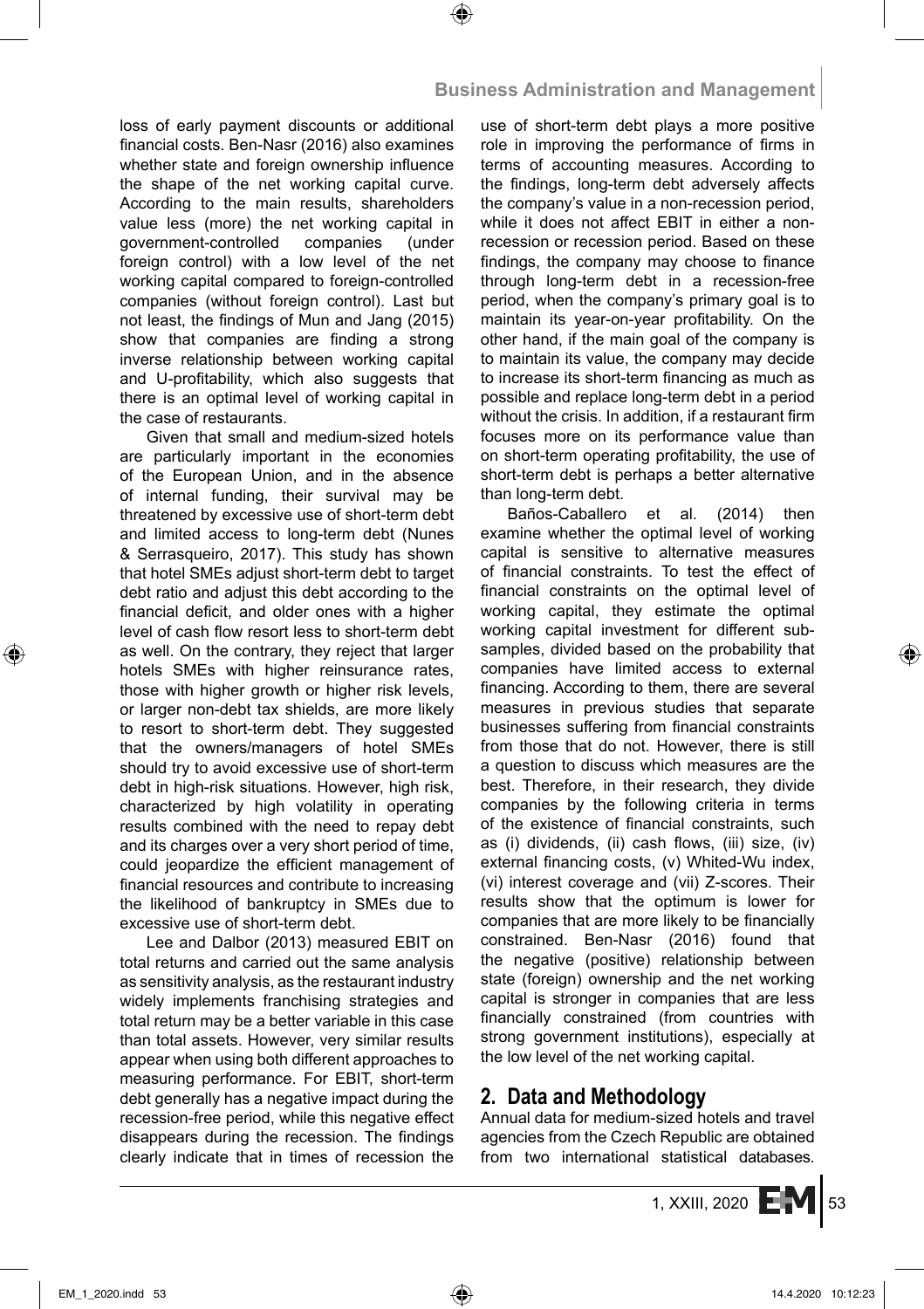loss of early payment discounts or additional financial costs. Ben-Nasr (2016) also examines whether state and foreign ownership influence the shape of the net working capital curve. According to the main results, shareholders value less (more) the net working capital in government-controlled companies (under foreign control) with a low level of the net working capital compared to foreign-controlled companies (without foreign control). Last but not least, the findings of Mun and Jang (2015) show that companies are finding a strong inverse relationship between working capital and U-profitability, which also suggests that there is an optimal level of working capital in the case of restaurants.

Given that small and medium-sized hotels are particularly important in the economies of the European Union, and in the absence of internal funding, their survival may be threatened by excessive use of short-term debt and limited access to long-term debt (Nunes & Serrasqueiro, 2017). This study has shown that hotel SMEs adjust short-term debt to target debt ratio and adjust this debt according to the financial deficit, and older ones with a higher level of cash flow resort less to short-term debt as well. On the contrary, they reject that larger hotels SMEs with higher reinsurance rates, those with higher growth or higher risk levels, or larger non-debt tax shields, are more likely to resort to short-term debt. They suggested that the owners/managers of hotel SMEs should try to avoid excessive use of short-term debt in high-risk situations. However, high risk, characterized by high volatility in operating results combined with the need to repay debt and its charges over a very short period of time, could jeopardize the efficient management of financial resources and contribute to increasing the likelihood of bankruptcy in SMEs due to excessive use of short-term debt.

Lee and Dalbor (2013) measured EBIT on total returns and carried out the same analysis as sensitivity analysis, as the restaurant industry widely implements franchising strategies and total return may be a better variable in this case than total assets. However, very similar results appear when using both different approaches to measuring performance. For EBIT, short-term debt generally has a negative impact during the recession-free period, while this negative effect disappears during the recession. The findings clearly indicate that in times of recession the use of short-term debt plays a more positive role in improving the performance of firms in terms of accounting measures. According to the findings, long-term debt adversely affects the company's value in a non-recession period, while it does not affect EBIT in either a nonrecession or recession period. Based on these findings, the company may choose to finance through long-term debt in a recession-free period, when the company's primary goal is to maintain its year-on-year profitability. On the other hand, if the main goal of the company is to maintain its value, the company may decide to increase its short-term financing as much as possible and replace long-term debt in a period without the crisis. In addition, if a restaurant firm focuses more on its performance value than on short-term operating profitability, the use of short-term debt is perhaps a better alternative than long-term debt.

Baños-Caballero et al. (2014) then examine whether the optimal level of working capital is sensitive to alternative measures of financial constraints. To test the effect of financial constraints on the optimal level of working capital, they estimate the optimal working capital investment for different subsamples, divided based on the probability that companies have limited access to external financing. According to them, there are several measures in previous studies that separate businesses suffering from financial constraints from those that do not. However, there is still a question to discuss which measures are the best. Therefore, in their research, they divide companies by the following criteria in terms of the existence of financial constraints, such as (i) dividends, (ii) cash flows, (iii) size, (iv) external financing costs, (v) Whited-Wu index, (vi) interest coverage and (vii) Z-scores. Their results show that the optimum is lower for companies that are more likely to be financially constrained. Ben-Nasr (2016) found that the negative (positive) relationship between state (foreign) ownership and the net working capital is stronger in companies that are less financially constrained (from countries with strong government institutions), especially at the low level of the net working capital.

## **2. Data and Methodology**

Annual data for medium-sized hotels and travel agencies from the Czech Republic are obtained from two international statistical databases.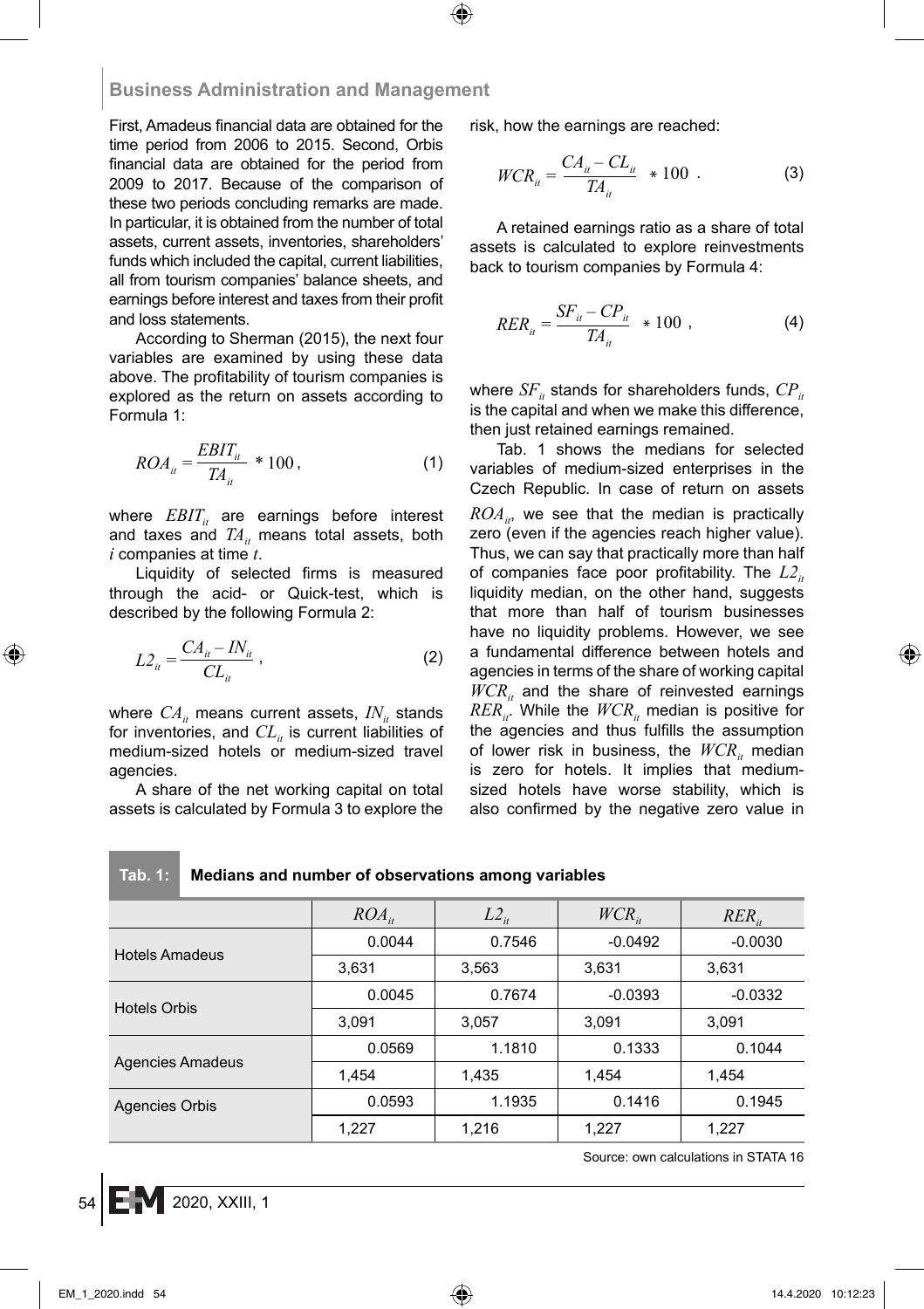#### **Business Administration and Management**

First, Amadeus financial data are obtained for the time period from 2006 to 2015. Second, Orbis financial data are obtained for the period from 2009 to 2017. Because of the comparison of these two periods concluding remarks are made. In particular, it is obtained from the number of total assets, current assets, inventories, shareholders' funds which included the capital, current liabilities, all from tourism companies' balance sheets, and earnings before interest and taxes from their profit and loss statements.

According to Sherman (2015), the next four variables are examined by using these data above. The profitability of tourism companies is explored as the return on assets according to Formula 1:

$$
ROA_{ii} = \frac{EBIT_{ii}}{TA_{ii}} * 100,
$$
\n<sup>(1)</sup>

where  $EBIT_{it}$  are earnings before interest and taxes and  $TA_{ir}$  means total assets, both *i* companies at time *t*.

Liquidity of selected firms is measured through the acid- or Quick-test, which is described by the following Formula 2:

$$
L2_{ii} = \frac{CA_{ii} - IN_{ii}}{CL_{ii}}\,,\tag{2}
$$

where  $CA_{it}$  means current assets,  $IN_{it}$  stands for inventories, and  $CL<sub>i</sub>$  is current liabilities of medium-sized hotels or medium-sized travel agencies.

A share of the net working capital on total assets is calculated by Formula 3 to explore the risk, how the earnings are reached:

$$
WCR_{ii} = \frac{CA_{ii} - CL_{ii}}{TA_{ii}} \times 100 \tag{3}
$$

A retained earnings ratio as a share of total assets is calculated to explore reinvestments back to tourism companies by Formula 4:

$$
RER_{ii} = \frac{SF_{ii} - CP_{ii}}{TA_{ii}} \approx 100 \tag{4}
$$

where  $SF_{it}$  stands for shareholders funds,  $CP_{it}$ is the capital and when we make this difference, then just retained earnings remained.

Tab. 1 shows the medians for selected variables of medium-sized enterprises in the Czech Republic. In case of return on assets  $ROA<sub>in</sub>$ , we see that the median is practically zero (even if the agencies reach higher value). Thus, we can say that practically more than half of companies face poor profitability. The  $L2_{it}$ liquidity median, on the other hand, suggests that more than half of tourism businesses have no liquidity problems. However, we see a fundamental difference between hotels and agencies in terms of the share of working capital  $WCR<sub>ir</sub>$  and the share of reinvested earnings  $RER_{it}$ . While the  $WCR_{it}$  median is positive for the agencies and thus fulfills the assumption of lower risk in business, the  $WCR_{ir}$  median is zero for hotels. It implies that mediumsized hotels have worse stability, which is also confirmed by the negative zero value in

|  | ED. |  |
|--|-----|--|

#### **Tab. 1: Medians and number of observations among variables**

|                         | $ROA_{it}$ | $L2_{ii}$ | $WCR_{it}$ | $RER_{it}$ |  |
|-------------------------|------------|-----------|------------|------------|--|
| <b>Hotels Amadeus</b>   | 0.0044     | 0.7546    |            | $-0.0030$  |  |
|                         | 3,631      | 3,563     | 3,631      | 3,631      |  |
| <b>Hotels Orbis</b>     | 0.0045     | 0.7674    | $-0.0393$  | $-0.0332$  |  |
|                         | 3,091      | 3,057     | 3,091      | 3,091      |  |
|                         | 0.0569     | 1.1810    | 0.1333     | 0.1044     |  |
| <b>Agencies Amadeus</b> | 1.454      | 1,435     | 1,454      | 1,454      |  |
| <b>Agencies Orbis</b>   | 0.0593     | 1.1935    | 0.1416     | 0.1945     |  |
|                         | 1,227      | 1,216     | 1,227      | 1,227      |  |

Source: own calculations in STATA 16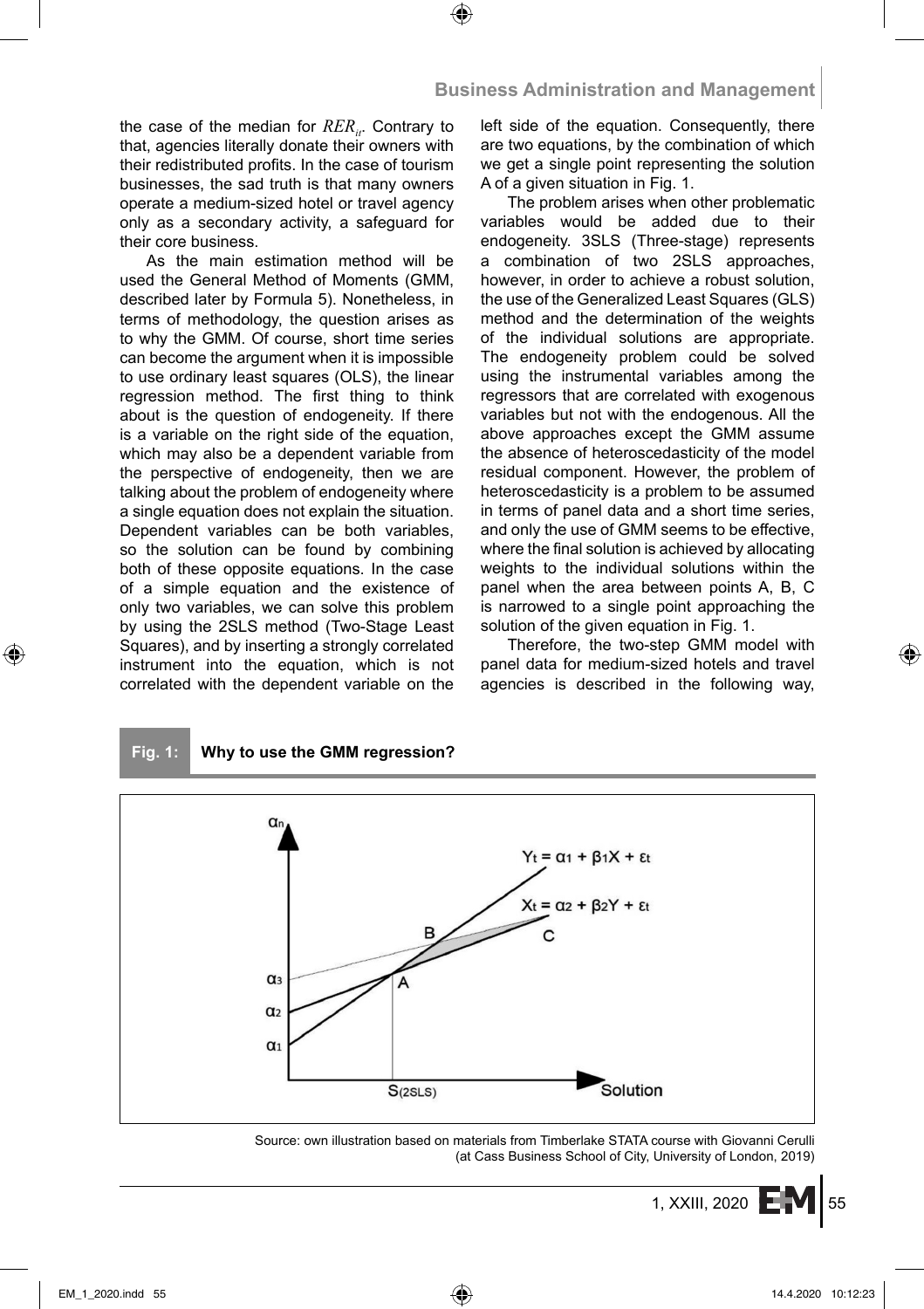the case of the median for *RER<sub>it</sub>*. Contrary to that, agencies literally donate their owners with their redistributed profits. In the case of tourism businesses, the sad truth is that many owners operate a medium-sized hotel or travel agency only as a secondary activity, a safeguard for their core business.

As the main estimation method will be used the General Method of Moments (GMM, described later by Formula 5). Nonetheless, in terms of methodology, the question arises as to why the GMM. Of course, short time series can become the argument when it is impossible to use ordinary least squares (OLS), the linear regression method. The first thing to think about is the question of endogeneity. If there is a variable on the right side of the equation, which may also be a dependent variable from the perspective of endogeneity, then we are talking about the problem of endogeneity where a single equation does not explain the situation. Dependent variables can be both variables, so the solution can be found by combining both of these opposite equations. In the case of a simple equation and the existence of only two variables, we can solve this problem by using the 2SLS method (Two-Stage Least Squares), and by inserting a strongly correlated instrument into the equation, which is not correlated with the dependent variable on the left side of the equation. Consequently, there are two equations, by the combination of which we get a single point representing the solution A of a given situation in Fig. 1.

The problem arises when other problematic variables would be added due to their endogeneity. 3SLS (Three-stage) represents a combination of two 2SLS approaches, however, in order to achieve a robust solution, the use of the Generalized Least Squares (GLS) method and the determination of the weights of the individual solutions are appropriate. The endogeneity problem could be solved using the instrumental variables among the regressors that are correlated with exogenous variables but not with the endogenous. All the above approaches except the GMM assume the absence of heteroscedasticity of the model residual component. However, the problem of heteroscedasticity is a problem to be assumed in terms of panel data and a short time series, and only the use of GMM seems to be effective, where the final solution is achieved by allocating weights to the individual solutions within the panel when the area between points A, B, C is narrowed to a single point approaching the solution of the given equation in Fig. 1.

Therefore, the two-step GMM model with panel data for medium-sized hotels and travel agencies is described in the following way,





Source: own illustration based on materials from Timberlake STATA course with Giovanni Cerulli (at Cass Business School of City, University of London, 2019)

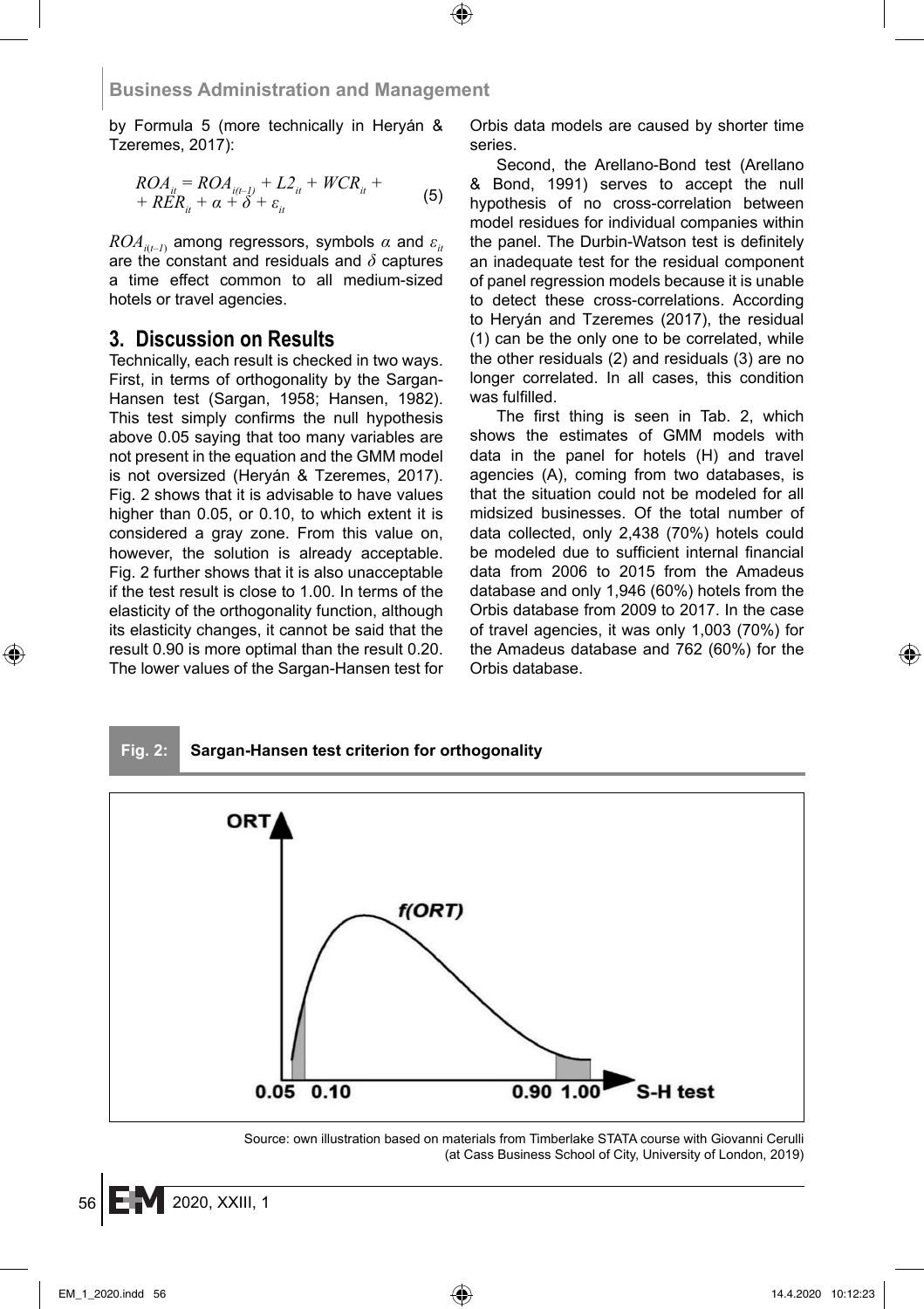by Formula 5 (more technically in Heryán & Tzeremes, 2017):

$$
ROA_{ii} = ROA_{i(t-1)} + L2_{ii} + WCR_{ii} ++ RER_{ii} + \alpha + \delta + \varepsilon_{ii}
$$
 (5)

 $ROA_{i(t-1)}$  among regressors, symbols  $\alpha$  and  $\varepsilon_{i t}$ are the constant and residuals and *δ* captures a time effect common to all medium-sized hotels or travel agencies.

#### **3. Discussion on Results**

Technically, each result is checked in two ways. First, in terms of orthogonality by the Sargan-Hansen test (Sargan, 1958; Hansen, 1982). This test simply confirms the null hypothesis above 0.05 saying that too many variables are not present in the equation and the GMM model is not oversized (Heryán & Tzeremes, 2017). Fig. 2 shows that it is advisable to have values higher than 0.05, or 0.10, to which extent it is considered a gray zone. From this value on, however, the solution is already acceptable. Fig. 2 further shows that it is also unacceptable if the test result is close to 1.00. In terms of the elasticity of the orthogonality function, although its elasticity changes, it cannot be said that the result 0.90 is more optimal than the result 0.20. The lower values of the Sargan-Hansen test for Orbis data models are caused by shorter time series.

Second, the Arellano-Bond test (Arellano & Bond, 1991) serves to accept the null hypothesis of no cross-correlation between model residues for individual companies within the panel. The Durbin-Watson test is definitely an inadequate test for the residual component of panel regression models because it is unable to detect these cross-correlations. According to Heryán and Tzeremes (2017), the residual (1) can be the only one to be correlated, while the other residuals (2) and residuals (3) are no longer correlated. In all cases, this condition was fulfilled.

The first thing is seen in Tab. 2, which shows the estimates of GMM models with data in the panel for hotels (H) and travel agencies (A), coming from two databases, is that the situation could not be modeled for all midsized businesses. Of the total number of data collected, only 2,438 (70%) hotels could be modeled due to sufficient internal financial data from 2006 to 2015 from the Amadeus database and only 1,946 (60%) hotels from the Orbis database from 2009 to 2017. In the case of travel agencies, it was only 1,003 (70%) for the Amadeus database and 762 (60%) for the Orbis database.



Source: own illustration based on materials from Timberlake STATA course with Giovanni Cerulli (at Cass Business School of City, University of London, 2019)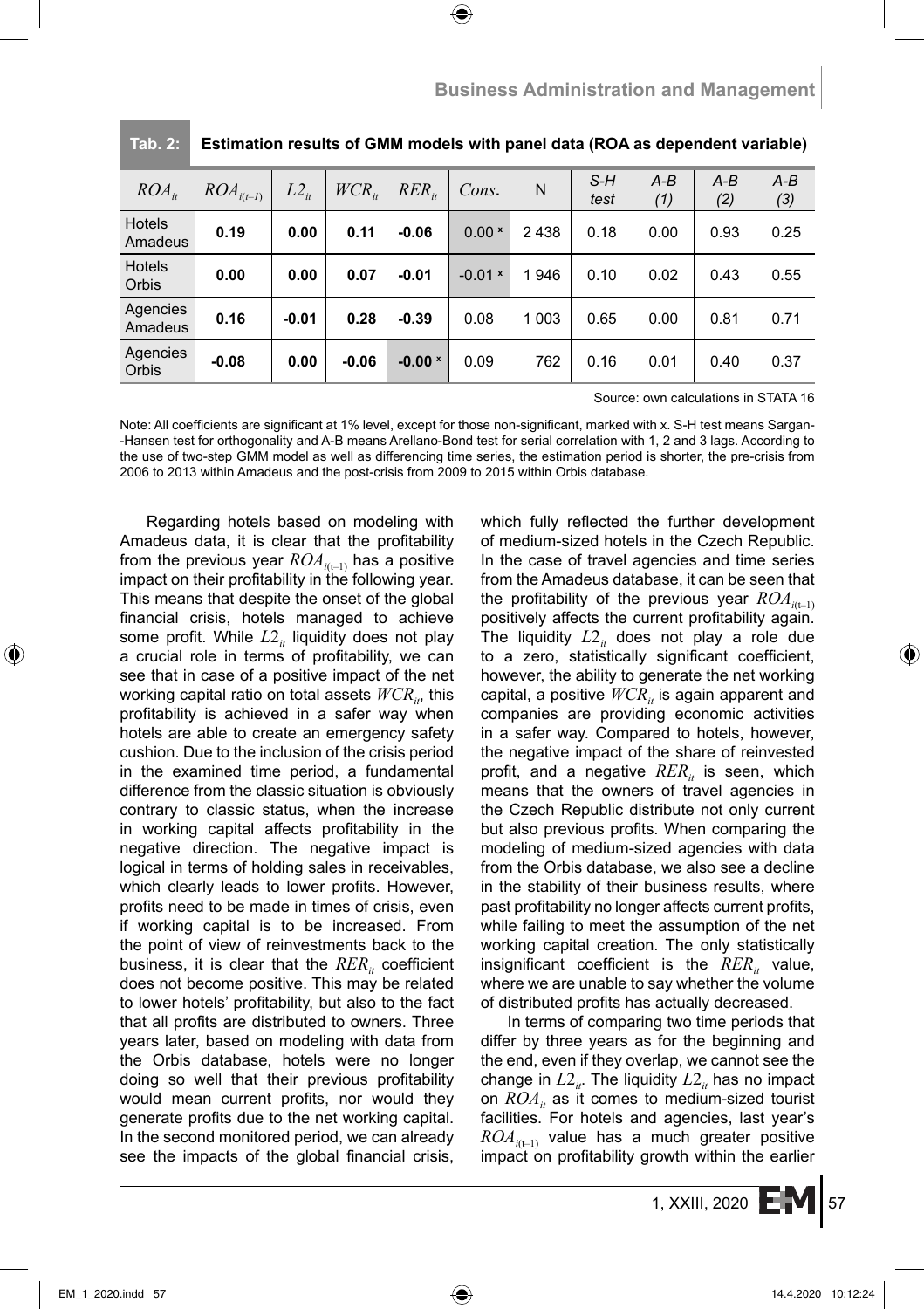| $ROA_{it}$          | $ROA_{i(t-1)}$ | $L2_{ii}$ | $WCR_{ii}$ | $RER_{it}$     | Cons.     | N       | $S-H$<br>test | $A-B$<br>(1) | $A-B$<br>(2) | $A-B$<br>(3) |
|---------------------|----------------|-----------|------------|----------------|-----------|---------|---------------|--------------|--------------|--------------|
| Hotels<br>Amadeus   | 0.19           | 0.00      | 0.11       | $-0.06$        | $0.00*$   | 2438    | 0.18          | 0.00         | 0.93         | 0.25         |
| Hotels<br>Orbis     | 0.00           | 0.00      | 0.07       | $-0.01$        | $-0.01$ × | 1946    | 0.10          | 0.02         | 0.43         | 0.55         |
| Agencies<br>Amadeus | 0.16           | $-0.01$   | 0.28       | $-0.39$        | 0.08      | 1 0 0 3 | 0.65          | 0.00         | 0.81         | 0.71         |
| Agencies<br>Orbis   | $-0.08$        | 0.00      | $-0.06$    | $-0.00 \times$ | 0.09      | 762     | 0.16          | 0.01         | 0.40         | 0.37         |

|  | Tab. 2: Estimation results of GMM models with panel data (ROA as dependent variable) |  |  |  |
|--|--------------------------------------------------------------------------------------|--|--|--|
|--|--------------------------------------------------------------------------------------|--|--|--|

Source: own calculations in STATA 16

Note: All coefficients are significant at 1% level, except for those non-significant, marked with x. S-H test means Sargan--Hansen test for orthogonality and A-B means Arellano-Bond test for serial correlation with 1, 2 and 3 lags. According to the use of two-step GMM model as well as differencing time series, the estimation period is shorter, the pre-crisis from 2006 to 2013 within Amadeus and the post-crisis from 2009 to 2015 within Orbis database.

Regarding hotels based on modeling with Amadeus data, it is clear that the profitability from the previous year  $ROA_{i(t-1)}$  has a positive impact on their profitability in the following year. This means that despite the onset of the global financial crisis, hotels managed to achieve some profit. While  $L2<sub>i</sub>$  liquidity does not play a crucial role in terms of profitability, we can see that in case of a positive impact of the net working capital ratio on total assets  $WCR_{ir}$ , this profitability is achieved in a safer way when hotels are able to create an emergency safety cushion. Due to the inclusion of the crisis period in the examined time period, a fundamental difference from the classic situation is obviously contrary to classic status, when the increase in working capital affects profitability in the negative direction. The negative impact is logical in terms of holding sales in receivables, which clearly leads to lower profits. However, profits need to be made in times of crisis, even if working capital is to be increased. From the point of view of reinvestments back to the business, it is clear that the  $RER_{it}$  coefficient does not become positive. This may be related to lower hotels' profitability, but also to the fact that all profits are distributed to owners. Three years later, based on modeling with data from the Orbis database, hotels were no longer doing so well that their previous profitability would mean current profits, nor would they generate profits due to the net working capital. In the second monitored period, we can already see the impacts of the global financial crisis,

which fully reflected the further development of medium-sized hotels in the Czech Republic. In the case of travel agencies and time series from the Amadeus database, it can be seen that the profitability of the previous year  $ROA_{i(t-1)}$ positively affects the current profitability again. The liquidity  $L2<sub>it</sub>$  does not play a role due to a zero, statistically significant coefficient, however, the ability to generate the net working capital, a positive  $WCR_{it}$  is again apparent and companies are providing economic activities in a safer way. Compared to hotels, however, the negative impact of the share of reinvested profit, and a negative  $RER_{i}$  is seen, which means that the owners of travel agencies in the Czech Republic distribute not only current but also previous profits. When comparing the modeling of medium-sized agencies with data from the Orbis database, we also see a decline in the stability of their business results, where past profitability no longer affects current profits, while failing to meet the assumption of the net working capital creation. The only statistically insignificant coefficient is the  $RER_{it}$  value, where we are unable to say whether the volume of distributed profits has actually decreased.

In terms of comparing two time periods that differ by three years as for the beginning and the end, even if they overlap, we cannot see the change in  $L2_i$ . The liquidity  $L2_i$  has no impact on  $ROA_{it}$  as it comes to medium-sized tourist facilities. For hotels and agencies, last year's  $ROA_{i(t-1)}$  value has a much greater positive impact on profitability growth within the earlier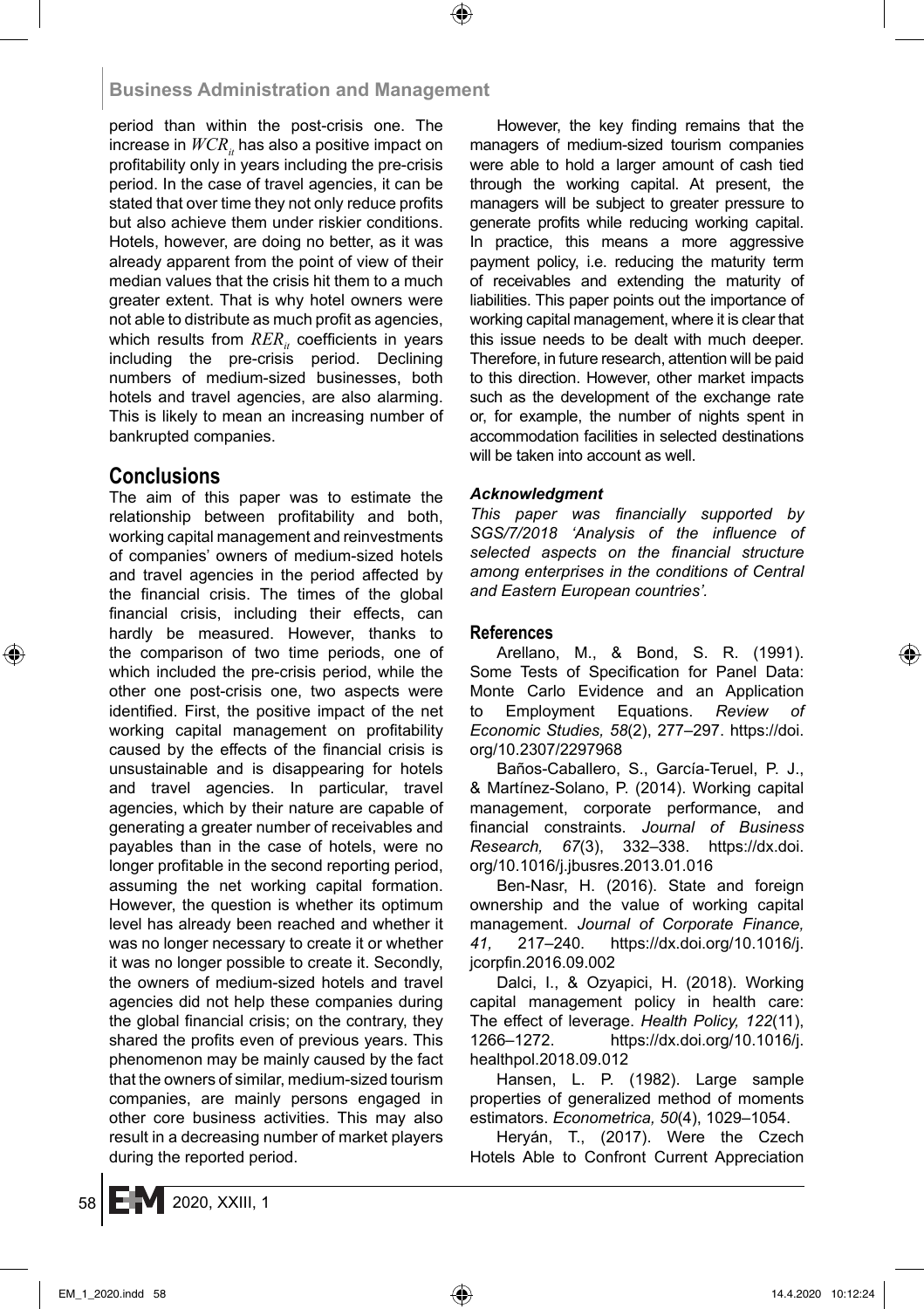period than within the post-crisis one. The increase in  $WCR<sub>i</sub>$  has also a positive impact on profitability only in years including the pre-crisis period. In the case of travel agencies, it can be stated that over time they not only reduce profits but also achieve them under riskier conditions. Hotels, however, are doing no better, as it was already apparent from the point of view of their median values that the crisis hit them to a much greater extent. That is why hotel owners were not able to distribute as much profit as agencies, which results from  $RER_{it}$  coefficients in years including the pre-crisis period. Declining numbers of medium-sized businesses, both hotels and travel agencies, are also alarming. This is likely to mean an increasing number of bankrupted companies.

## **Conclusions**

The aim of this paper was to estimate the relationship between profitability and both, working capital management and reinvestments of companies' owners of medium-sized hotels and travel agencies in the period affected by the financial crisis. The times of the global financial crisis, including their effects, can hardly be measured. However, thanks to the comparison of two time periods, one of which included the pre-crisis period, while the other one post-crisis one, two aspects were identified. First, the positive impact of the net working capital management on profitability caused by the effects of the financial crisis is unsustainable and is disappearing for hotels and travel agencies. In particular, travel agencies, which by their nature are capable of generating a greater number of receivables and payables than in the case of hotels, were no longer profitable in the second reporting period, assuming the net working capital formation. However, the question is whether its optimum level has already been reached and whether it was no longer necessary to create it or whether it was no longer possible to create it. Secondly, the owners of medium-sized hotels and travel agencies did not help these companies during the global financial crisis; on the contrary, they shared the profits even of previous years. This phenomenon may be mainly caused by the fact that the owners of similar, medium-sized tourism companies, are mainly persons engaged in other core business activities. This may also result in a decreasing number of market players during the reported period.

However, the key finding remains that the managers of medium-sized tourism companies were able to hold a larger amount of cash tied through the working capital. At present, the managers will be subject to greater pressure to generate profits while reducing working capital. In practice, this means a more aggressive payment policy, i.e. reducing the maturity term of receivables and extending the maturity of liabilities. This paper points out the importance of working capital management, where it is clear that this issue needs to be dealt with much deeper. Therefore, in future research, attention will be paid to this direction. However, other market impacts such as the development of the exchange rate or, for example, the number of nights spent in accommodation facilities in selected destinations will be taken into account as well.

#### *Acknowledgment*

This paper was financially supported by SGS/7/2018 'Analysis of the influence of selected aspects on the financial structure *among enterprises in the conditions of Central and Eastern European countries'.*

#### **References**

Arellano, M., & Bond, S. R. (1991). Some Tests of Specification for Panel Data: Monte Carlo Evidence and an Application to Employment Equations. *Review of Economic Studies, 58*(2), 277–297. https://doi. org/10.2307/2297968

Baños-Caballero, S., García-Teruel, P. J., & Martínez-Solano, P. (2014). Working capital management, corporate performance, and fi nancial constraints. *Journal of Business Research, 67*(3), 332–338. https://dx.doi. org/10.1016/j.jbusres.2013.01.016

Ben-Nasr, H. (2016). State and foreign ownership and the value of working capital management. *Journal of Corporate Finance, 41,* 217–240. https://dx.doi.org/10.1016/j. jcorpfin.2016.09.002

Dalci, I., & Ozyapici, H. (2018). Working capital management policy in health care: The effect of leverage. *Health Policy, 122*(11), 1266–1272. https://dx.doi.org/10.1016/j. healthpol.2018.09.012

Hansen, L. P. (1982). Large sample properties of generalized method of moments estimators. *Econometrica, 50*(4), 1029–1054.

Heryán, T., (2017). Were the Czech Hotels Able to Confront Current Appreciation